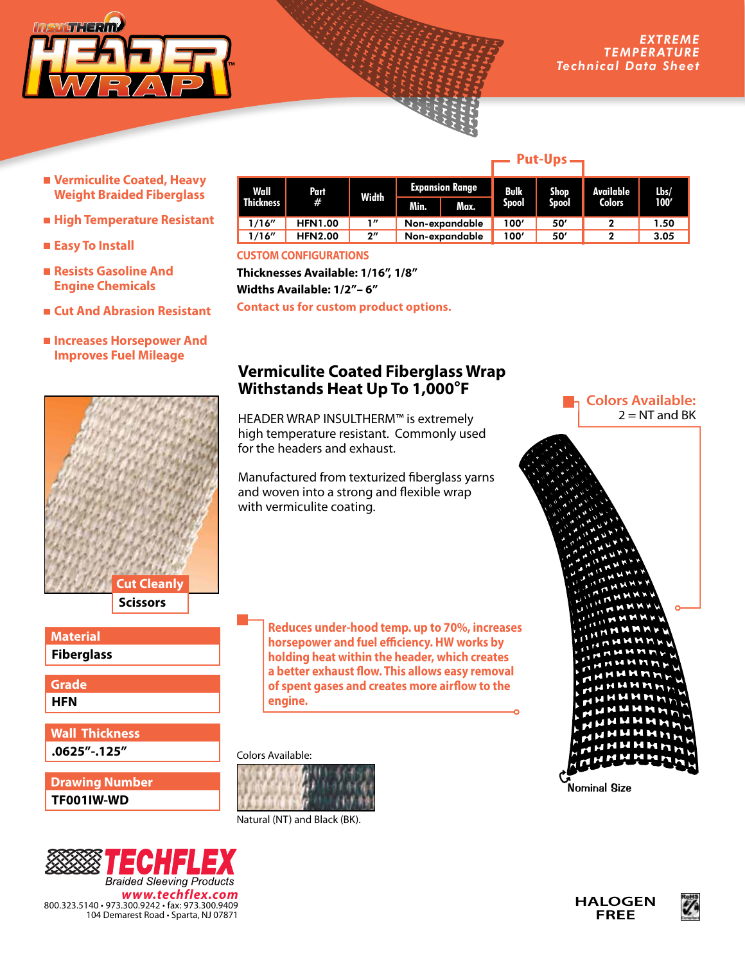

- **Vermiculite Coated, Heavy Weight Braided Fiberglass**
- **High Temperature Resistant**
- Easy To Install
- **Resists Gasoline And Engine Chemicals**
- **Cut And Abrasion Resistant**
- $\blacksquare$  **Increases Horsepower And Improves Fuel Mileage**



**Fiberglass Material**

**HFN Grade**

**.0625"-.125" Wall Thickness**

**TF001IW-WD Drawing Number**



| Wall<br><b>Thickness</b> | Part<br>#      | Width              | <b>Expansion Range</b> |      | Bulk  | Shop  | Available     | Lbs/ |
|--------------------------|----------------|--------------------|------------------------|------|-------|-------|---------------|------|
|                          |                |                    | Min.                   | Max. | Spool | Spool | <b>Colors</b> | 100' |
| 1/16''                   | <b>HFN1.00</b> | 1″                 | Non-expandable         |      | 100'  | 50    |               | 1.50 |
| 1/16''                   | <b>HFN2.00</b> | $2^{\prime\prime}$ | Non-expandable         |      | 100′  | 50'   | っ             | 3.05 |

**CUSTOM CONFIGURATIONS**

**Thicknesses Available: 1/16", 1/8" Widths Available: 1/2"– 6" Contact us for custom product options.**

## **Vermiculite Coated Fiberglass Wrap Withstands Heat Up To 1,000°F**

HEADER WRAP INSULTHERM™ is extremely high temperature resistant. Commonly used for the headers and exhaust.

Manufactured from texturized fiberglass yarns and woven into a strong and flexible wrap with vermiculite coating.

> **Reduces under-hood temp. up to 70%, increases horsepower and fuel efficiency. HW works by holding heat within the header, which creates a better exhaust flow. This allows easy removal of spent gases and creates more airflow to the engine.**

Colors Available:



Natural (NT) and Black (BK).



Nominal Size





## **Put-Ups**